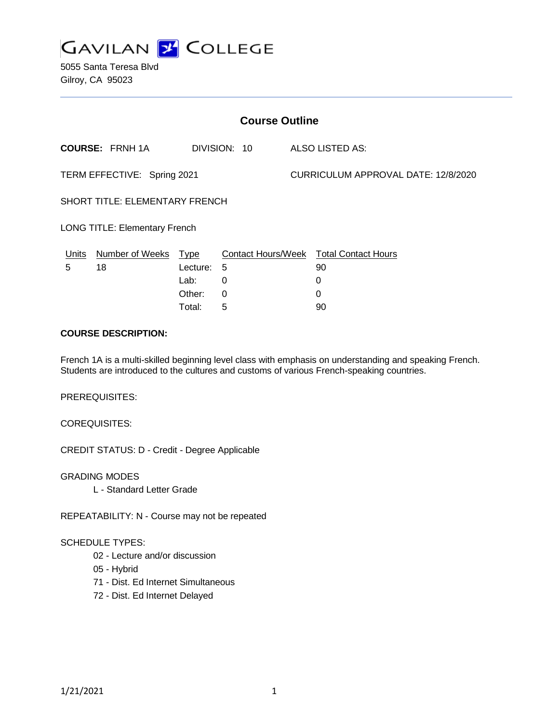

5055 Santa Teresa Blvd Gilroy, CA 95023

| <b>Course Outline</b>                 |                        |          |              |                                     |                                               |
|---------------------------------------|------------------------|----------|--------------|-------------------------------------|-----------------------------------------------|
|                                       | <b>COURSE: FRNH 1A</b> |          | DIVISION: 10 |                                     | <b>ALSO LISTED AS:</b>                        |
| TERM EFFECTIVE: Spring 2021           |                        |          |              | CURRICULUM APPROVAL DATE: 12/8/2020 |                                               |
| <b>SHORT TITLE: ELEMENTARY FRENCH</b> |                        |          |              |                                     |                                               |
| <b>LONG TITLE: Elementary French</b>  |                        |          |              |                                     |                                               |
| <u>Units</u>                          | Number of Weeks Type   |          |              |                                     | <b>Contact Hours/Week Total Contact Hours</b> |
| 5                                     | 18                     | Lecture: | 5            |                                     | 90                                            |
|                                       |                        | Lab:     | 0            |                                     | 0                                             |
|                                       |                        | Other:   | 0            |                                     | 0                                             |
|                                       |                        | Total:   | 5            |                                     | 90                                            |

#### **COURSE DESCRIPTION:**

French 1A is a multi-skilled beginning level class with emphasis on understanding and speaking French. Students are introduced to the cultures and customs of various French-speaking countries.

PREREQUISITES:

COREQUISITES:

CREDIT STATUS: D - Credit - Degree Applicable

GRADING MODES L - Standard Letter Grade

REPEATABILITY: N - Course may not be repeated

#### SCHEDULE TYPES:

- 02 Lecture and/or discussion
- 05 Hybrid
- 71 Dist. Ed Internet Simultaneous
- 72 Dist. Ed Internet Delayed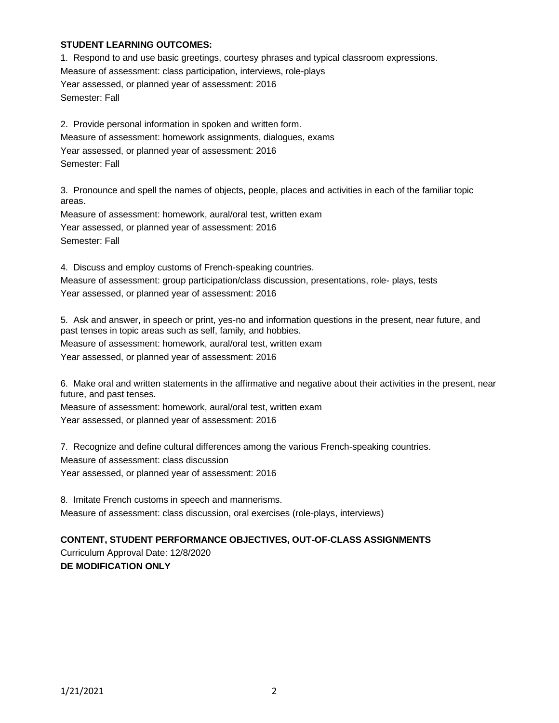#### **STUDENT LEARNING OUTCOMES:**

1. Respond to and use basic greetings, courtesy phrases and typical classroom expressions. Measure of assessment: class participation, interviews, role-plays Year assessed, or planned year of assessment: 2016 Semester: Fall

2. Provide personal information in spoken and written form. Measure of assessment: homework assignments, dialogues, exams Year assessed, or planned year of assessment: 2016 Semester: Fall

3. Pronounce and spell the names of objects, people, places and activities in each of the familiar topic areas.

Measure of assessment: homework, aural/oral test, written exam Year assessed, or planned year of assessment: 2016 Semester: Fall

4. Discuss and employ customs of French-speaking countries. Measure of assessment: group participation/class discussion, presentations, role- plays, tests Year assessed, or planned year of assessment: 2016

5. Ask and answer, in speech or print, yes-no and information questions in the present, near future, and past tenses in topic areas such as self, family, and hobbies. Measure of assessment: homework, aural/oral test, written exam Year assessed, or planned year of assessment: 2016

6. Make oral and written statements in the affirmative and negative about their activities in the present, near future, and past tenses.

Measure of assessment: homework, aural/oral test, written exam Year assessed, or planned year of assessment: 2016

7. Recognize and define cultural differences among the various French-speaking countries. Measure of assessment: class discussion Year assessed, or planned year of assessment: 2016

8. Imitate French customs in speech and mannerisms. Measure of assessment: class discussion, oral exercises (role-plays, interviews)

# **CONTENT, STUDENT PERFORMANCE OBJECTIVES, OUT-OF-CLASS ASSIGNMENTS**

Curriculum Approval Date: 12/8/2020 **DE MODIFICATION ONLY**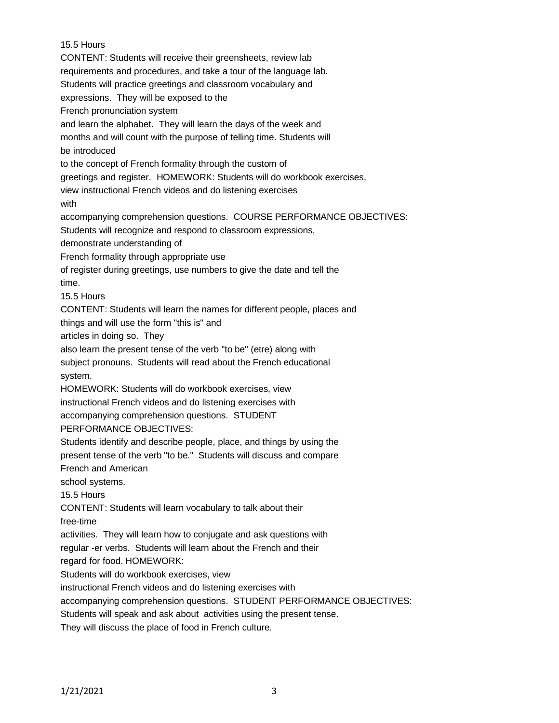# 15.5 Hours

CONTENT: Students will receive their greensheets, review lab requirements and procedures, and take a tour of the language lab. Students will practice greetings and classroom vocabulary and expressions. They will be exposed to the French pronunciation system and learn the alphabet. They will learn the days of the week and months and will count with the purpose of telling time. Students will be introduced to the concept of French formality through the custom of greetings and register. HOMEWORK: Students will do workbook exercises, view instructional French videos and do listening exercises with accompanying comprehension questions. COURSE PERFORMANCE OBJECTIVES: Students will recognize and respond to classroom expressions, demonstrate understanding of French formality through appropriate use of register during greetings, use numbers to give the date and tell the time. 15.5 Hours CONTENT: Students will learn the names for different people, places and things and will use the form "this is" and articles in doing so. They also learn the present tense of the verb "to be" (etre) along with subject pronouns. Students will read about the French educational system. HOMEWORK: Students will do workbook exercises, view instructional French videos and do listening exercises with accompanying comprehension questions. STUDENT PERFORMANCE OBJECTIVES: Students identify and describe people, place, and things by using the present tense of the verb "to be." Students will discuss and compare French and American school systems. 15.5 Hours CONTENT: Students will learn vocabulary to talk about their free-time activities. They will learn how to conjugate and ask questions with regular -er verbs. Students will learn about the French and their regard for food. HOMEWORK: Students will do workbook exercises, view instructional French videos and do listening exercises with accompanying comprehension questions. STUDENT PERFORMANCE OBJECTIVES: Students will speak and ask about activities using the present tense. They will discuss the place of food in French culture.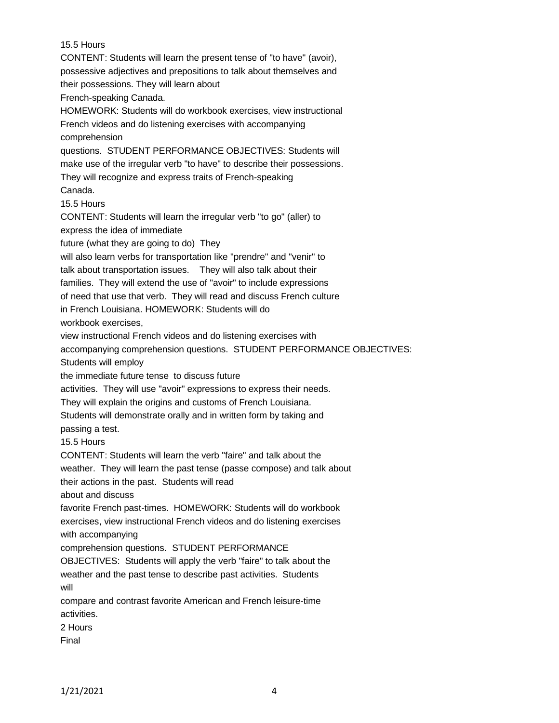15.5 Hours CONTENT: Students will learn the present tense of "to have" (avoir), possessive adjectives and prepositions to talk about themselves and their possessions. They will learn about French-speaking Canada. HOMEWORK: Students will do workbook exercises, view instructional French videos and do listening exercises with accompanying comprehension questions. STUDENT PERFORMANCE OBJECTIVES: Students will make use of the irregular verb "to have" to describe their possessions. They will recognize and express traits of French-speaking Canada. 15.5 Hours CONTENT: Students will learn the irregular verb "to go" (aller) to express the idea of immediate future (what they are going to do) They will also learn verbs for transportation like "prendre" and "venir" to talk about transportation issues. They will also talk about their families. They will extend the use of "avoir" to include expressions of need that use that verb. They will read and discuss French culture in French Louisiana. HOMEWORK: Students will do workbook exercises, view instructional French videos and do listening exercises with accompanying comprehension questions. STUDENT PERFORMANCE OBJECTIVES: Students will employ the immediate future tense to discuss future activities. They will use "avoir" expressions to express their needs. They will explain the origins and customs of French Louisiana. Students will demonstrate orally and in written form by taking and passing a test. 15.5 Hours CONTENT: Students will learn the verb "faire" and talk about the weather. They will learn the past tense (passe compose) and talk about their actions in the past. Students will read about and discuss favorite French past-times. HOMEWORK: Students will do workbook exercises, view instructional French videos and do listening exercises with accompanying comprehension questions. STUDENT PERFORMANCE OBJECTIVES: Students will apply the verb "faire" to talk about the weather and the past tense to describe past activities. Students will compare and contrast favorite American and French leisure-time activities. 2 Hours Final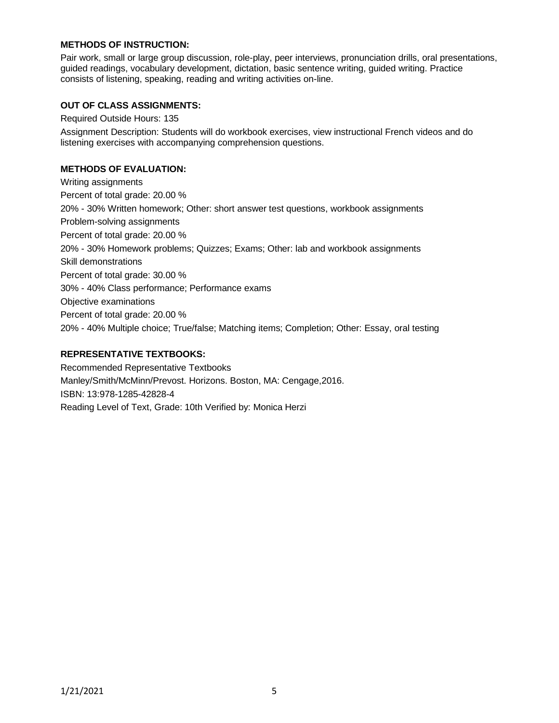## **METHODS OF INSTRUCTION:**

Pair work, small or large group discussion, role-play, peer interviews, pronunciation drills, oral presentations, guided readings, vocabulary development, dictation, basic sentence writing, guided writing. Practice consists of listening, speaking, reading and writing activities on-line.

## **OUT OF CLASS ASSIGNMENTS:**

Required Outside Hours: 135

Assignment Description: Students will do workbook exercises, view instructional French videos and do listening exercises with accompanying comprehension questions.

#### **METHODS OF EVALUATION:**

Writing assignments Percent of total grade: 20.00 % 20% - 30% Written homework; Other: short answer test questions, workbook assignments Problem-solving assignments Percent of total grade: 20.00 % 20% - 30% Homework problems; Quizzes; Exams; Other: lab and workbook assignments Skill demonstrations Percent of total grade: 30.00 % 30% - 40% Class performance; Performance exams Objective examinations Percent of total grade: 20.00 % 20% - 40% Multiple choice; True/false; Matching items; Completion; Other: Essay, oral testing

# **REPRESENTATIVE TEXTBOOKS:**

Recommended Representative Textbooks Manley/Smith/McMinn/Prevost. Horizons. Boston, MA: Cengage,2016. ISBN: 13:978-1285-42828-4 Reading Level of Text, Grade: 10th Verified by: Monica Herzi